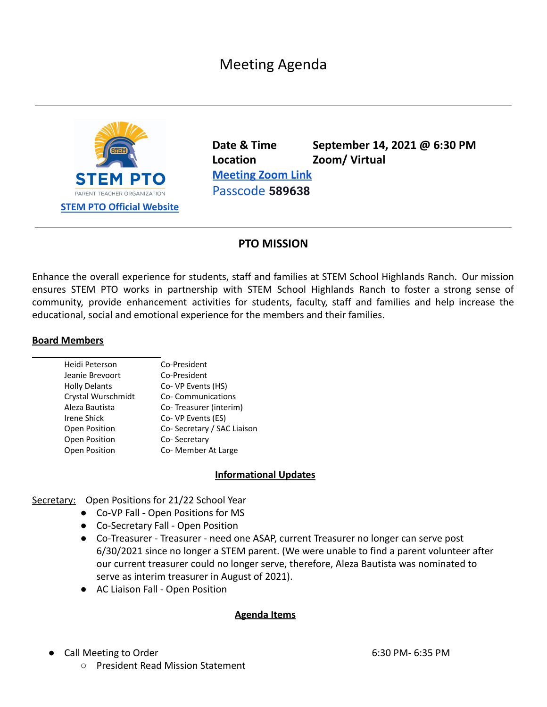# Meeting Agenda



**Date & Time September 14, 2021 @ 6:30 PM Location Zoom/ Virtual [Meeting](https://zoom.us/j/92265684452?pwd=RzBRN2N4R1BsVEhETjc5Q0NJVDEwQT09) Zoom Link** Passcode **589638**

## **PTO MISSION**

Enhance the overall experience for students, staff and families at STEM School Highlands Ranch. Our mission ensures STEM PTO works in partnership with STEM School Highlands Ranch to foster a strong sense of community, provide enhancement activities for students, faculty, staff and families and help increase the educational, social and emotional experience for the members and their families.

#### **Board Members**

| Heidi Peterson       | Co-President               |
|----------------------|----------------------------|
| Jeanie Brevoort      | Co-President               |
| <b>Holly Delants</b> | Co- VP Events (HS)         |
| Crystal Wurschmidt   | Co-Communications          |
| Aleza Bautista       | Co-Treasurer (interim)     |
| Irene Shick          | Co- VP Events (ES)         |
| Open Position        | Co-Secretary / SAC Liaison |
| Open Position        | Co-Secretary               |
| Open Position        | Co-Member At Large         |

#### **Informational Updates**

Secretary: Open Positions for 21/22 School Year

- Co-VP Fall Open Positions for MS
	- Co-Secretary Fall Open Position
	- **●** Co-Treasurer Treasurer need one ASAP, current Treasurer no longer can serve post 6/30/2021 since no longer a STEM parent. (We were unable to find a parent volunteer after our current treasurer could no longer serve, therefore, Aleza Bautista was nominated to serve as interim treasurer in August of 2021).
	- AC Liaison Fall Open Position

#### **Agenda Items**

- **Call Meeting to Order 6:30 PM- 6:35 PM** 
	- President Read Mission Statement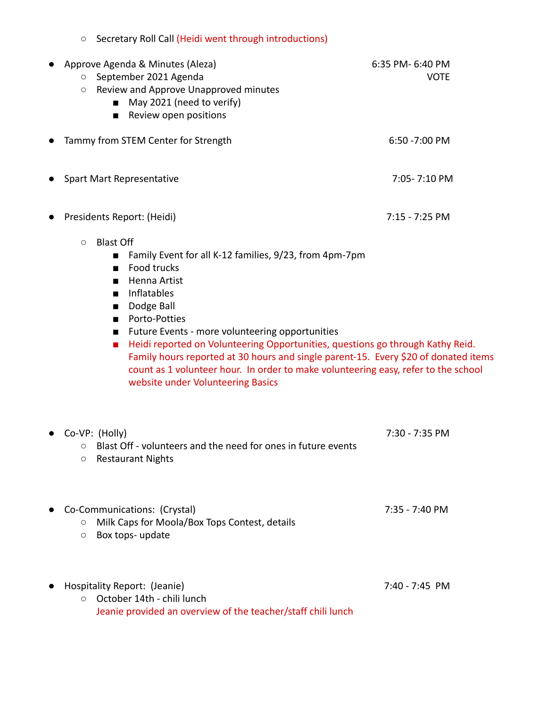| Secretary Roll Call (Heidi went through introductions)<br>$\circ$                                                                                                                                                                                                                                                                                                                                                                                                                                                                                                                                   |                                 |
|-----------------------------------------------------------------------------------------------------------------------------------------------------------------------------------------------------------------------------------------------------------------------------------------------------------------------------------------------------------------------------------------------------------------------------------------------------------------------------------------------------------------------------------------------------------------------------------------------------|---------------------------------|
| Approve Agenda & Minutes (Aleza)<br>September 2021 Agenda<br>$\circlearrowright$<br>Review and Approve Unapproved minutes<br>$\circlearrowright$<br>May 2021 (need to verify)<br>Review open positions<br>■                                                                                                                                                                                                                                                                                                                                                                                         | 6:35 PM- 6:40 PM<br><b>VOTE</b> |
| Tammy from STEM Center for Strength                                                                                                                                                                                                                                                                                                                                                                                                                                                                                                                                                                 | 6:50 - 7:00 PM                  |
| Spart Mart Representative                                                                                                                                                                                                                                                                                                                                                                                                                                                                                                                                                                           | 7:05-7:10 PM                    |
| Presidents Report: (Heidi)                                                                                                                                                                                                                                                                                                                                                                                                                                                                                                                                                                          | 7:15 - 7:25 PM                  |
| <b>Blast Off</b><br>$\circ$<br>Family Event for all K-12 families, 9/23, from 4pm-7pm<br>■<br>Food trucks<br>п<br>Henna Artist<br>$\blacksquare$<br>Inflatables<br>п<br>Dodge Ball<br>$\blacksquare$<br>Porto-Potties<br>■<br>Future Events - more volunteering opportunities<br>Heidi reported on Volunteering Opportunities, questions go through Kathy Reid.<br>$\blacksquare$<br>Family hours reported at 30 hours and single parent-15. Every \$20 of donated items<br>count as 1 volunteer hour. In order to make volunteering easy, refer to the school<br>website under Volunteering Basics |                                 |
| Co-VP: (Holly)<br>Blast Off - volunteers and the need for ones in future events<br>$\circ$<br><b>Restaurant Nights</b><br>$\circ$                                                                                                                                                                                                                                                                                                                                                                                                                                                                   | 7:30 - 7:35 PM                  |
| Co-Communications: (Crystal)<br>Milk Caps for Moola/Box Tops Contest, details<br>$\circ$<br>Box tops- update<br>$\circ$                                                                                                                                                                                                                                                                                                                                                                                                                                                                             | 7:35 - 7:40 PM                  |
| Hospitality Report: (Jeanie)<br>October 14th - chili lunch<br>$\circ$<br>Jeanie provided an overview of the teacher/staff chili lunch                                                                                                                                                                                                                                                                                                                                                                                                                                                               | 7:40 - 7:45 PM                  |